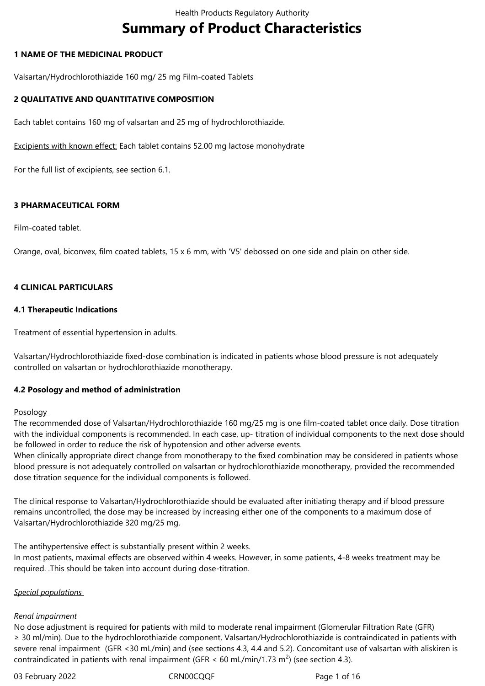# **Summary of Product Characteristics**

## **1 NAME OF THE MEDICINAL PRODUCT**

Valsartan/Hydrochlorothiazide 160 mg/ 25 mg Film-coated Tablets

## **2 QUALITATIVE AND QUANTITATIVE COMPOSITION**

Each tablet contains 160 mg of valsartan and 25 mg of hydrochlorothiazide.

Excipients with known effect: Each tablet contains 52.00 mg lactose monohydrate

For the full list of excipients, see section 6.1.

## **3 PHARMACEUTICAL FORM**

Film-coated tablet.

Orange, oval, biconvex, film coated tablets, 15 x 6 mm, with 'V5' debossed on one side and plain on other side.

## **4 CLINICAL PARTICULARS**

#### **4.1 Therapeutic Indications**

Treatment of essential hypertension in adults.

Valsartan/Hydrochlorothiazide fixed-dose combination is indicated in patients whose blood pressure is not adequately controlled on valsartan or hydrochlorothiazide monotherapy.

## **4.2 Posology and method of administration**

#### **Posology**

The recommended dose of Valsartan/Hydrochlorothiazide 160 mg/25 mg is one film-coated tablet once daily. Dose titration with the individual components is recommended. In each case, up- titration of individual components to the next dose should be followed in order to reduce the risk of hypotension and other adverse events.

When clinically appropriate direct change from monotherapy to the fixed combination may be considered in patients whose blood pressure is not adequately controlled on valsartan or hydrochlorothiazide monotherapy, provided the recommended dose titration sequence for the individual components is followed.

The clinical response to Valsartan/Hydrochlorothiazide should be evaluated after initiating therapy and if blood pressure remains uncontrolled, the dose may be increased by increasing either one of the components to a maximum dose of Valsartan/Hydrochlorothiazide 320 mg/25 mg.

The antihypertensive effect is substantially present within 2 weeks. In most patients, maximal effects are observed within 4 weeks. However, in some patients, 4-8 weeks treatment may be required. .This should be taken into account during dose-titration.

## *Special populations*

#### *Renal impairment*

No dose adjustment is required for patients with mild to moderate renal impairment (Glomerular Filtration Rate (GFR) ≥ 30 ml/min). Due to the hydrochlorothiazide component, Valsartan/Hydrochlorothiazide is contraindicated in patients with severe renal impairment (GFR <30 mL/min) and (see sections 4.3, 4.4 and 5.2). Concomitant use of valsartan with aliskiren is contraindicated in patients with renal impairment (GFR < 60 mL/min/1.73 m<sup>2</sup>) (see section 4.3).

03 February 2022 CRN00CQQF CRNOOCQQF Page 1 of 16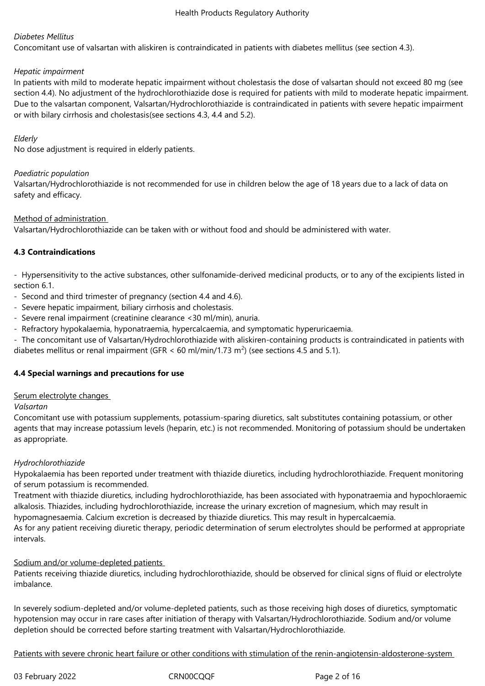## *Diabetes Mellitus*

Concomitant use of valsartan with aliskiren is contraindicated in patients with diabetes mellitus (see section 4.3).

#### *Hepatic impairment*

In patients with mild to moderate hepatic impairment without cholestasis the dose of valsartan should not exceed 80 mg (see section 4.4). No adjustment of the hydrochlorothiazide dose is required for patients with mild to moderate hepatic impairment. Due to the valsartan component, Valsartan/Hydrochlorothiazide is contraindicated in patients with severe hepatic impairment or with bilary cirrhosis and cholestasis(see sections 4.3, 4.4 and 5.2).

## *Elderly*

No dose adjustment is required in elderly patients.

## *Paediatric population*

Valsartan/Hydrochlorothiazide is not recommended for use in children below the age of 18 years due to a lack of data on safety and efficacy.

## Method of administration

Valsartan/Hydrochlorothiazide can be taken with or without food and should be administered with water.

## **4.3 Contraindications**

- Hypersensitivity to the active substances, other sulfonamide-derived medicinal products, or to any of the excipients listed in section 6.1.

- Second and third trimester of pregnancy (section 4.4 and 4.6).
- Severe hepatic impairment, biliary cirrhosis and cholestasis.
- Severe renal impairment (creatinine clearance <30 ml/min), anuria.
- Refractory hypokalaemia, hyponatraemia, hypercalcaemia, and symptomatic hyperuricaemia.

- The concomitant use of Valsartan/Hydrochlorothiazide with aliskiren-containing products is contraindicated in patients with diabetes mellitus or renal impairment (GFR < 60 ml/min/1.73 m<sup>2</sup>) (see sections 4.5 and 5.1).

## **4.4 Special warnings and precautions for use**

#### Serum electrolyte changes

#### *Valsartan*

Concomitant use with potassium supplements, potassium-sparing diuretics, salt substitutes containing potassium, or other agents that may increase potassium levels (heparin, etc.) is not recommended. Monitoring of potassium should be undertaken as appropriate.

#### *Hydrochlorothiazide*

Hypokalaemia has been reported under treatment with thiazide diuretics, including hydrochlorothiazide. Frequent monitoring of serum potassium is recommended.

Treatment with thiazide diuretics, including hydrochlorothiazide, has been associated with hyponatraemia and hypochloraemic alkalosis. Thiazides, including hydrochlorothiazide, increase the urinary excretion of magnesium, which may result in hypomagnesaemia. Calcium excretion is decreased by thiazide diuretics. This may result in hypercalcaemia.

As for any patient receiving diuretic therapy, periodic determination of serum electrolytes should be performed at appropriate intervals.

Sodium and/or volume-depleted patients

Patients receiving thiazide diuretics, including hydrochlorothiazide, should be observed for clinical signs of fluid or electrolyte imbalance.

In severely sodium-depleted and/or volume-depleted patients, such as those receiving high doses of diuretics, symptomatic hypotension may occur in rare cases after initiation of therapy with Valsartan/Hydrochlorothiazide. Sodium and/or volume depletion should be corrected before starting treatment with Valsartan/Hydrochlorothiazide.

Patients with severe chronic heart failure or other conditions with stimulation of the renin-angiotensin-aldosterone-system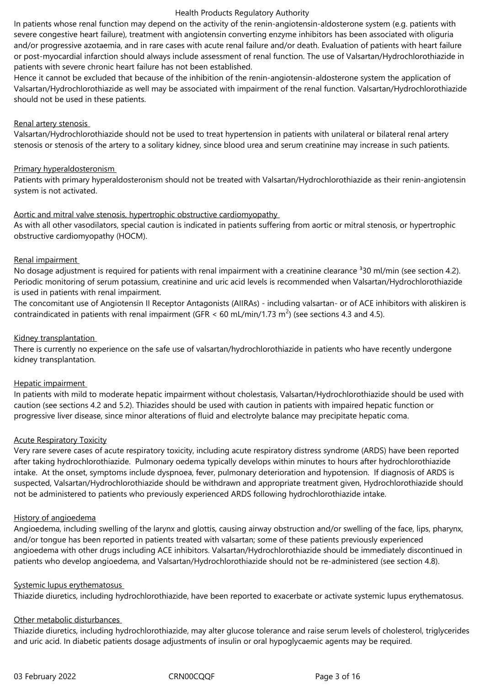In patients whose renal function may depend on the activity of the renin-angiotensin-aldosterone system (e.g. patients with severe congestive heart failure), treatment with angiotensin converting enzyme inhibitors has been associated with oliguria and/or progressive azotaemia, and in rare cases with acute renal failure and/or death. Evaluation of patients with heart failure or post-myocardial infarction should always include assessment of renal function. The use of Valsartan/Hydrochlorothiazide in patients with severe chronic heart failure has not been established.

Hence it cannot be excluded that because of the inhibition of the renin-angiotensin-aldosterone system the application of Valsartan/Hydrochlorothiazide as well may be associated with impairment of the renal function. Valsartan/Hydrochlorothiazide should not be used in these patients.

#### Renal artery stenosis

Valsartan/Hydrochlorothiazide should not be used to treat hypertension in patients with unilateral or bilateral renal artery stenosis or stenosis of the artery to a solitary kidney, since blood urea and serum creatinine may increase in such patients.

#### Primary hyperaldosteronism

Patients with primary hyperaldosteronism should not be treated with Valsartan/Hydrochlorothiazide as their renin-angiotensin system is not activated.

#### Aortic and mitral valve stenosis, hypertrophic obstructive cardiomyopathy

As with all other vasodilators, special caution is indicated in patients suffering from aortic or mitral stenosis, or hypertrophic obstructive cardiomyopathy (HOCM).

#### Renal impairment

No dosage adjustment is required for patients with renal impairment with a creatinine clearance  $330$  ml/min (see section 4.2). Periodic monitoring of serum potassium, creatinine and uric acid levels is recommended when Valsartan/Hydrochlorothiazide is used in patients with renal impairment.

The concomitant use of Angiotensin II Receptor Antagonists (AIIRAs) - including valsartan- or of ACE inhibitors with aliskiren is contraindicated in patients with renal impairment (GFR < 60 mL/min/1.73 m<sup>2</sup>) (see sections 4.3 and 4.5).

#### Kidney transplantation

There is currently no experience on the safe use of valsartan/hydrochlorothiazide in patients who have recently undergone kidney transplantation.

#### Hepatic impairment

In patients with mild to moderate hepatic impairment without cholestasis, Valsartan/Hydrochlorothiazide should be used with caution (see sections 4.2 and 5.2). Thiazides should be used with caution in patients with impaired hepatic function or progressive liver disease, since minor alterations of fluid and electrolyte balance may precipitate hepatic coma.

#### Acute Respiratory Toxicity

Very rare severe cases of acute respiratory toxicity, including acute respiratory distress syndrome (ARDS) have been reported after taking hydrochlorothiazide. Pulmonary oedema typically develops within minutes to hours after hydrochlorothiazide intake. At the onset, symptoms include dyspnoea, fever, pulmonary deterioration and hypotension. If diagnosis of ARDS is suspected, Valsartan/Hydrochlorothiazide should be withdrawn and appropriate treatment given, Hydrochlorothiazide should not be administered to patients who previously experienced ARDS following hydrochlorothiazide intake.

#### History of angioedema

Angioedema, including swelling of the larynx and glottis, causing airway obstruction and/or swelling of the face, lips, pharynx, and/or tongue has been reported in patients treated with valsartan; some of these patients previously experienced angioedema with other drugs including ACE inhibitors. Valsartan/Hydrochlorothiazide should be immediately discontinued in patients who develop angioedema, and Valsartan/Hydrochlorothiazide should not be re-administered (see section 4.8).

#### Systemic lupus erythematosus

Thiazide diuretics, including hydrochlorothiazide, have been reported to exacerbate or activate systemic lupus erythematosus.

#### Other metabolic disturbances

Thiazide diuretics, including hydrochlorothiazide, may alter glucose tolerance and raise serum levels of cholesterol, triglycerides and uric acid. In diabetic patients dosage adjustments of insulin or oral hypoglycaemic agents may be required.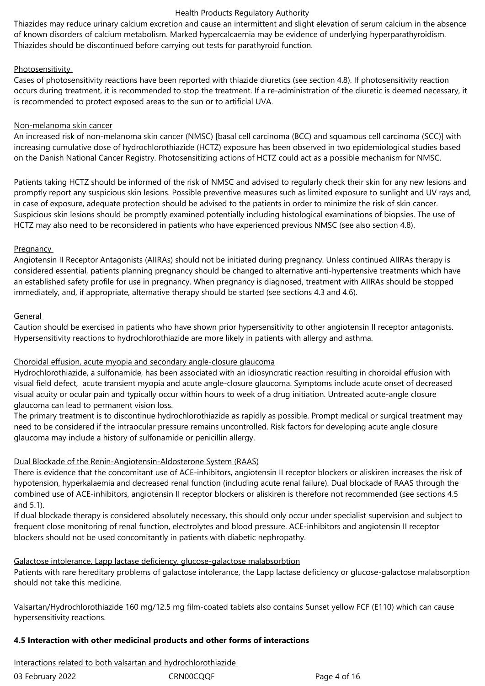Thiazides may reduce urinary calcium excretion and cause an intermittent and slight elevation of serum calcium in the absence of known disorders of calcium metabolism. Marked hypercalcaemia may be evidence of underlying hyperparathyroidism. Thiazides should be discontinued before carrying out tests for parathyroid function.

## Photosensitivity

Cases of photosensitivity reactions have been reported with thiazide diuretics (see section 4.8). If photosensitivity reaction occurs during treatment, it is recommended to stop the treatment. If a re-administration of the diuretic is deemed necessary, it is recommended to protect exposed areas to the sun or to artificial UVA.

## Non-melanoma skin cancer

An increased risk of non-melanoma skin cancer (NMSC) [basal cell carcinoma (BCC) and squamous cell carcinoma (SCC)] with increasing cumulative dose of hydrochlorothiazide (HCTZ) exposure has been observed in two epidemiological studies based on the Danish National Cancer Registry. Photosensitizing actions of HCTZ could act as a possible mechanism for NMSC.

Patients taking HCTZ should be informed of the risk of NMSC and advised to regularly check their skin for any new lesions and promptly report any suspicious skin lesions. Possible preventive measures such as limited exposure to sunlight and UV rays and, in case of exposure, adequate protection should be advised to the patients in order to minimize the risk of skin cancer. Suspicious skin lesions should be promptly examined potentially including histological examinations of biopsies. The use of HCTZ may also need to be reconsidered in patients who have experienced previous NMSC (see also section 4.8).

## **Pregnancy**

Angiotensin II Receptor Antagonists (AIIRAs) should not be initiated during pregnancy. Unless continued AIIRAs therapy is considered essential, patients planning pregnancy should be changed to alternative anti-hypertensive treatments which have an established safety profile for use in pregnancy. When pregnancy is diagnosed, treatment with AIIRAs should be stopped immediately, and, if appropriate, alternative therapy should be started (see sections 4.3 and 4.6).

## **General**

Caution should be exercised in patients who have shown prior hypersensitivity to other angiotensin II receptor antagonists. Hypersensitivity reactions to hydrochlorothiazide are more likely in patients with allergy and asthma.

#### Choroidal effusion, acute myopia and secondary angle-closure glaucoma

Hydrochlorothiazide, a sulfonamide, has been associated with an idiosyncratic reaction resulting in choroidal effusion with visual field defect, acute transient myopia and acute angle-closure glaucoma. Symptoms include acute onset of decreased visual acuity or ocular pain and typically occur within hours to week of a drug initiation. Untreated acute-angle closure glaucoma can lead to permanent vision loss.

The primary treatment is to discontinue hydrochlorothiazide as rapidly as possible. Prompt medical or surgical treatment may need to be considered if the intraocular pressure remains uncontrolled. Risk factors for developing acute angle closure glaucoma may include a history of sulfonamide or penicillin allergy.

## Dual Blockade of the Renin-Angiotensin-Aldosterone System (RAAS)

There is evidence that the concomitant use of ACE-inhibitors, angiotensin II receptor blockers or aliskiren increases the risk of hypotension, hyperkalaemia and decreased renal function (including acute renal failure). Dual blockade of RAAS through the combined use of ACE-inhibitors, angiotensin II receptor blockers or aliskiren is therefore not recommended (see sections 4.5 and 5.1).

If dual blockade therapy is considered absolutely necessary, this should only occur under specialist supervision and subject to frequent close monitoring of renal function, electrolytes and blood pressure. ACE-inhibitors and angiotensin II receptor blockers should not be used concomitantly in patients with diabetic nephropathy.

## Galactose intolerance, Lapp lactase deficiency, glucose-galactose malabsorbtion

Patients with rare hereditary problems of galactose intolerance, the Lapp lactase deficiency or glucose-galactose malabsorption should not take this medicine.

Valsartan/Hydrochlorothiazide 160 mg/12.5 mg film-coated tablets also contains Sunset yellow FCF (E110) which can cause hypersensitivity reactions.

## **4.5 Interaction with other medicinal products and other forms of interactions**

Interactions related to both valsartan and hydrochlorothiazide

| 03 February 2022 | CRN00CQQ |
|------------------|----------|
|------------------|----------|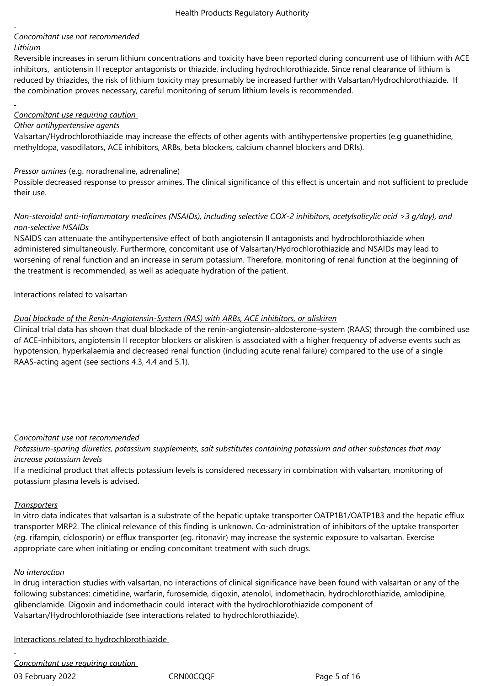## *Concomitant use not recommended*

## *Lithium*

Reversible increases in serum lithium concentrations and toxicity have been reported during concurrent use of lithium with ACE inhibitors, antiotensin II receptor antagonists or thiazide, including hydrochlorothiazide. Since renal clearance of lithium is reduced by thiazides, the risk of lithium toxicity may presumably be increased further with Valsartan/Hydrochlorothiazide. If the combination proves necessary, careful monitoring of serum lithium levels is recommended.

## *Concomitant use requiring caution*

#### *Other antihypertensive agents*

Valsartan/Hydrochlorothiazide may increase the effects of other agents with antihypertensive properties (e.g guanethidine, methyldopa, vasodilators, ACE inhibitors, ARBs, beta blockers, calcium channel blockers and DRIs).

## *Pressor amines* (e.g. noradrenaline, adrenaline)

Possible decreased response to pressor amines. The clinical significance of this effect is uncertain and not sufficient to preclude their use.

## *Non-steroidal anti-inflammatory medicines (NSAIDs), including selective COX-2 inhibitors, acetylsalicylic acid >3 g/day), and non-selective NSAIDs*

NSAIDS can attenuate the antihypertensive effect of both angiotensin II antagonists and hydrochlorothiazide when administered simultaneously. Furthermore, concomitant use of Valsartan/Hydrochlorothiazide and NSAIDs may lead to worsening of renal function and an increase in serum potassium. Therefore, monitoring of renal function at the beginning of the treatment is recommended, as well as adequate hydration of the patient.

## Interactions related to valsartan

## *Dual blockade of the Renin-Angiotensin-System (RAS) with ARBs, ACE inhibitors, or aliskiren*

Clinical trial data has shown that dual blockade of the renin-angiotensin-aldosterone-system (RAAS) through the combined use of ACE-inhibitors, angiotensin II receptor blockers or aliskiren is associated with a higher frequency of adverse events such as hypotension, hyperkalaemia and decreased renal function (including acute renal failure) compared to the use of a single RAAS-acting agent (see sections 4.3, 4.4 and 5.1).

## *Concomitant use not recommended*

*Potassium-sparing diuretics, potassium supplements, salt substitutes containing potassium and other substances that may increase potassium levels* 

If a medicinal product that affects potassium levels is considered necessary in combination with valsartan, monitoring of potassium plasma levels is advised.

#### *Transporters*

In vitro data indicates that valsartan is a substrate of the hepatic uptake transporter OATP1B1/OATP1B3 and the hepatic efflux transporter MRP2. The clinical relevance of this finding is unknown. Co-administration of inhibitors of the uptake transporter (eg. rifampin, ciclosporin) or efflux transporter (eg. ritonavir) may increase the systemic exposure to valsartan. Exercise appropriate care when initiating or ending concomitant treatment with such drugs.

#### *No interaction*

In drug interaction studies with valsartan, no interactions of clinical significance have been found with valsartan or any of the following substances: cimetidine, warfarin, furosemide, digoxin, atenolol, indomethacin, hydrochlorothiazide, amlodipine, glibenclamide. Digoxin and indomethacin could interact with the hydrochlorothiazide component of Valsartan/Hydrochlorothiazide (see interactions related to hydrochlorothiazide).

Interactions related to hydrochlorothiazide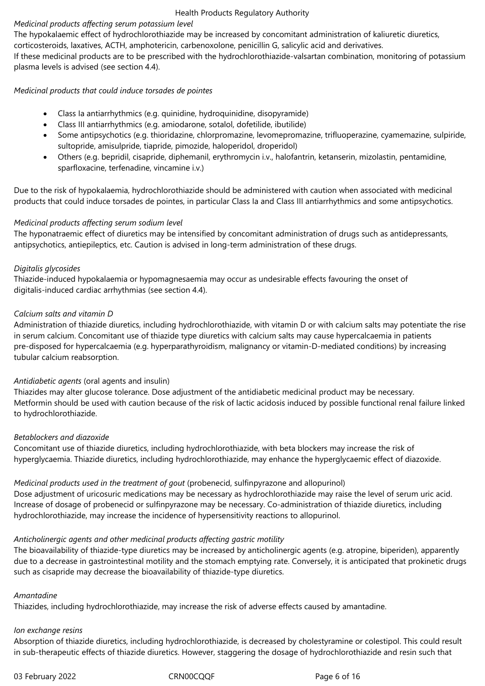## *Medicinal products affecting serum potassium level*

The hypokalaemic effect of hydrochlorothiazide may be increased by concomitant administration of kaliuretic diuretics,

corticosteroids, laxatives, ACTH, amphotericin, carbenoxolone, penicillin G, salicylic acid and derivatives.

If these medicinal products are to be prescribed with the hydrochlorothiazide-valsartan combination, monitoring of potassium plasma levels is advised (see section 4.4).

## *Medicinal products that could induce torsades de pointes*

- Class Ia antiarrhythmics (e.g. quinidine, hydroquinidine, disopyramide)
- Class III antiarrhythmics (e.g. amiodarone, sotalol, dofetilide, ibutilide)
- Some antipsychotics (e.g. thioridazine, chlorpromazine, levomepromazine, trifluoperazine, cyamemazine, sulpiride, sultopride, amisulpride, tiapride, pimozide, haloperidol, droperidol)
- Others (e.g. bepridil, cisapride, diphemanil, erythromycin i.v., halofantrin, ketanserin, mizolastin, pentamidine, sparfloxacine, terfenadine, vincamine i.v.)

Due to the risk of hypokalaemia, hydrochlorothiazide should be administered with caution when associated with medicinal products that could induce torsades de pointes, in particular Class Ia and Class III antiarrhythmics and some antipsychotics.

## *Medicinal products affecting serum sodium level*

The hyponatraemic effect of diuretics may be intensified by concomitant administration of drugs such as antidepressants, antipsychotics, antiepileptics, etc. Caution is advised in long-term administration of these drugs.

## *Digitalis glycosides*

Thiazide-induced hypokalaemia or hypomagnesaemia may occur as undesirable effects favouring the onset of digitalis-induced cardiac arrhythmias (see section 4.4).

## *Calcium salts and vitamin D*

Administration of thiazide diuretics, including hydrochlorothiazide, with vitamin D or with calcium salts may potentiate the rise in serum calcium. Concomitant use of thiazide type diuretics with calcium salts may cause hypercalcaemia in patients pre-disposed for hypercalcaemia (e.g. hyperparathyroidism, malignancy or vitamin-D-mediated conditions) by increasing tubular calcium reabsorption.

## *Antidiabetic agents* (oral agents and insulin)

Thiazides may alter glucose tolerance. Dose adjustment of the antidiabetic medicinal product may be necessary. Metformin should be used with caution because of the risk of lactic acidosis induced by possible functional renal failure linked to hydrochlorothiazide.

## *Betablockers and diazoxide*

Concomitant use of thiazide diuretics, including hydrochlorothiazide, with beta blockers may increase the risk of hyperglycaemia. Thiazide diuretics, including hydrochlorothiazide, may enhance the hyperglycaemic effect of diazoxide.

## *Medicinal products used in the treatment of gout* (probenecid, sulfinpyrazone and allopurinol)

Dose adjustment of uricosuric medications may be necessary as hydrochlorothiazide may raise the level of serum uric acid. Increase of dosage of probenecid or sulfinpyrazone may be necessary. Co-administration of thiazide diuretics, including hydrochlorothiazide, may increase the incidence of hypersensitivity reactions to allopurinol.

## *Anticholinergic agents and other medicinal products affecting gastric motility*

The bioavailability of thiazide-type diuretics may be increased by anticholinergic agents (e.g. atropine, biperiden), apparently due to a decrease in gastrointestinal motility and the stomach emptying rate. Conversely, it is anticipated that prokinetic drugs such as cisapride may decrease the bioavailability of thiazide-type diuretics.

## *Amantadine*

Thiazides, including hydrochlorothiazide, may increase the risk of adverse effects caused by amantadine.

## *Ion exchange resins*

Absorption of thiazide diuretics, including hydrochlorothiazide, is decreased by cholestyramine or colestipol. This could result in sub-therapeutic effects of thiazide diuretics. However, staggering the dosage of hydrochlorothiazide and resin such that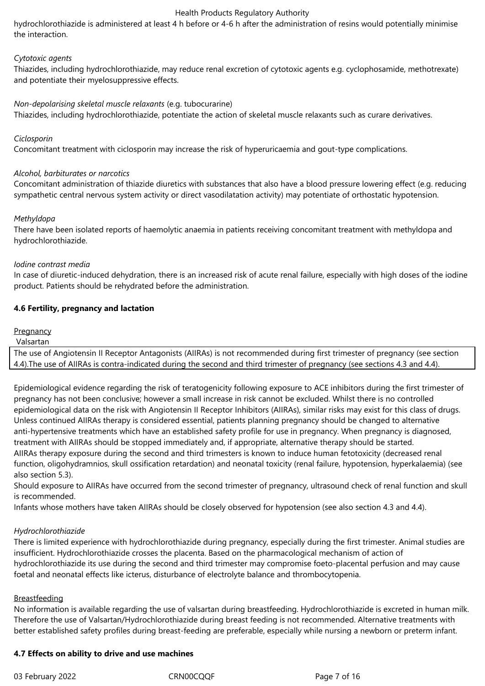hydrochlorothiazide is administered at least 4 h before or 4-6 h after the administration of resins would potentially minimise the interaction.

#### *Cytotoxic agents*

Thiazides, including hydrochlorothiazide, may reduce renal excretion of cytotoxic agents e.g. cyclophosamide, methotrexate) and potentiate their myelosuppressive effects.

#### *Non-depolarising skeletal muscle relaxants* (e.g. tubocurarine)

Thiazides, including hydrochlorothiazide, potentiate the action of skeletal muscle relaxants such as curare derivatives.

#### *Ciclosporin*

Concomitant treatment with ciclosporin may increase the risk of hyperuricaemia and gout-type complications.

#### *Alcohol, barbiturates or narcotics*

Concomitant administration of thiazide diuretics with substances that also have a blood pressure lowering effect (e.g. reducing sympathetic central nervous system activity or direct vasodilatation activity) may potentiate of orthostatic hypotension.

#### *Methyldopa*

There have been isolated reports of haemolytic anaemia in patients receiving concomitant treatment with methyldopa and hydrochlorothiazide.

#### *Iodine contrast media*

In case of diuretic-induced dehydration, there is an increased risk of acute renal failure, especially with high doses of the iodine product. Patients should be rehydrated before the administration.

#### **4.6 Fertility, pregnancy and lactation**

#### **Pregnancy**

Valsartan

The use of Angiotensin II Receptor Antagonists (AIIRAs) is not recommended during first trimester of pregnancy (see section 4.4).The use of AIIRAs is contra-indicated during the second and third trimester of pregnancy (see sections 4.3 and 4.4).

Epidemiological evidence regarding the risk of teratogenicity following exposure to ACE inhibitors during the first trimester of pregnancy has not been conclusive; however a small increase in risk cannot be excluded. Whilst there is no controlled epidemiological data on the risk with Angiotensin II Receptor Inhibitors (AIIRAs), similar risks may exist for this class of drugs. Unless continued AIIRAs therapy is considered essential, patients planning pregnancy should be changed to alternative anti-hypertensive treatments which have an established safety profile for use in pregnancy. When pregnancy is diagnosed, treatment with AIIRAs should be stopped immediately and, if appropriate, alternative therapy should be started. AIIRAs therapy exposure during the second and third trimesters is known to induce human fetotoxicity (decreased renal function, oligohydramnios, skull ossification retardation) and neonatal toxicity (renal failure, hypotension, hyperkalaemia) (see also section 5.3).

Should exposure to AIIRAs have occurred from the second trimester of pregnancy, ultrasound check of renal function and skull is recommended.

Infants whose mothers have taken AIIRAs should be closely observed for hypotension (see also section 4.3 and 4.4).

#### *Hydrochlorothiazide*

There is limited experience with hydrochlorothiazide during pregnancy, especially during the first trimester. Animal studies are insufficient. Hydrochlorothiazide crosses the placenta. Based on the pharmacological mechanism of action of hydrochlorothiazide its use during the second and third trimester may compromise foeto-placental perfusion and may cause foetal and neonatal effects like icterus, disturbance of electrolyte balance and thrombocytopenia.

#### Breastfeeding

No information is available regarding the use of valsartan during breastfeeding. Hydrochlorothiazide is excreted in human milk. Therefore the use of Valsartan/Hydrochlorothiazide during breast feeding is not recommended. Alternative treatments with better established safety profiles during breast-feeding are preferable, especially while nursing a newborn or preterm infant.

#### **4.7 Effects on ability to drive and use machines**

03 February 2022 CRN00CQQF Page 7 of 16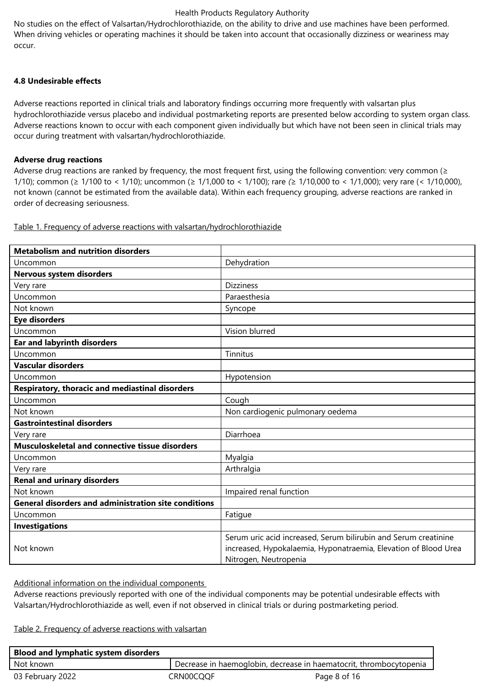No studies on the effect of Valsartan/Hydrochlorothiazide, on the ability to drive and use machines have been performed. When driving vehicles or operating machines it should be taken into account that occasionally dizziness or weariness may occur.

## **4.8 Undesirable effects**

Adverse reactions reported in clinical trials and laboratory findings occurring more frequently with valsartan plus hydrochlorothiazide versus placebo and individual postmarketing reports are presented below according to system organ class. Adverse reactions known to occur with each component given individually but which have not been seen in clinical trials may occur during treatment with valsartan/hydrochlorothiazide.

## **Adverse drug reactions**

Adverse drug reactions are ranked by frequency, the most frequent first, using the following convention: very common ( $\geq$ 1/10); common (≥ 1/100 to < 1/10); uncommon (≥ 1/1,000 to < 1/100); rare *(*≥ 1/10,000 to *<* 1/1,000); very rare (< 1/10,000), not known (cannot be estimated from the available data). Within each frequency grouping, adverse reactions are ranked in order of decreasing seriousness.

| <b>Metabolism and nutrition disorders</b>                   |                                                                 |
|-------------------------------------------------------------|-----------------------------------------------------------------|
| Uncommon                                                    | Dehydration                                                     |
| Nervous system disorders                                    |                                                                 |
| Very rare                                                   | <b>Dizziness</b>                                                |
| Uncommon                                                    | Paraesthesia                                                    |
| Not known                                                   | Syncope                                                         |
| <b>Eye disorders</b>                                        |                                                                 |
| Uncommon                                                    | Vision blurred                                                  |
| <b>Ear and labyrinth disorders</b>                          |                                                                 |
| Uncommon                                                    | Tinnitus                                                        |
| <b>Vascular disorders</b>                                   |                                                                 |
| Uncommon                                                    | Hypotension                                                     |
| Respiratory, thoracic and mediastinal disorders             |                                                                 |
| Uncommon                                                    | Cough                                                           |
| Not known                                                   | Non cardiogenic pulmonary oedema                                |
| <b>Gastrointestinal disorders</b>                           |                                                                 |
| Very rare                                                   | Diarrhoea                                                       |
| Musculoskeletal and connective tissue disorders             |                                                                 |
| Uncommon                                                    | Myalgia                                                         |
| Very rare                                                   | Arthralgia                                                      |
| <b>Renal and urinary disorders</b>                          |                                                                 |
| Not known                                                   | Impaired renal function                                         |
| <b>General disorders and administration site conditions</b> |                                                                 |
| Uncommon                                                    | Fatigue                                                         |
| <b>Investigations</b>                                       |                                                                 |
|                                                             | Serum uric acid increased, Serum bilirubin and Serum creatinine |
| Not known                                                   | increased, Hypokalaemia, Hyponatraemia, Elevation of Blood Urea |
|                                                             | Nitrogen, Neutropenia                                           |

Table 1. Frequency of adverse reactions with valsartan/hydrochlorothiazide

Additional information on the individual components

Adverse reactions previously reported with one of the individual components may be potential undesirable effects with Valsartan/Hydrochlorothiazide as well, even if not observed in clinical trials or during postmarketing period.

Table 2. Frequency of adverse reactions with valsartan

| <b>Blood and lymphatic system disorders</b> |                                                                    |              |
|---------------------------------------------|--------------------------------------------------------------------|--------------|
| Not known                                   | Decrease in haemoglobin, decrease in haematocrit, thrombocytopenia |              |
| 03 February 2022                            | CRN00COOF                                                          | Page 8 of 16 |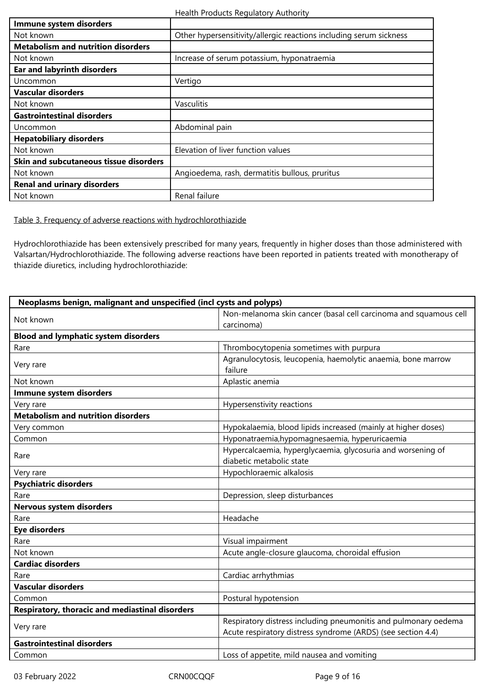| Health Products Regulatory Authority |  |
|--------------------------------------|--|
|--------------------------------------|--|

| Immune system disorders                   |                                                                    |
|-------------------------------------------|--------------------------------------------------------------------|
| Not known                                 | Other hypersensitivity/allergic reactions including serum sickness |
| <b>Metabolism and nutrition disorders</b> |                                                                    |
| Not known                                 | Increase of serum potassium, hyponatraemia                         |
| <b>Ear and labyrinth disorders</b>        |                                                                    |
| Uncommon                                  | Vertigo                                                            |
| <b>Vascular disorders</b>                 |                                                                    |
| Not known                                 | <b>Vasculitis</b>                                                  |
| <b>Gastrointestinal disorders</b>         |                                                                    |
| Uncommon                                  | Abdominal pain                                                     |
| <b>Hepatobiliary disorders</b>            |                                                                    |
| Not known                                 | Elevation of liver function values                                 |
| Skin and subcutaneous tissue disorders    |                                                                    |
| Not known                                 | Angioedema, rash, dermatitis bullous, pruritus                     |
| <b>Renal and urinary disorders</b>        |                                                                    |
| Not known                                 | Renal failure                                                      |

Table 3. Frequency of adverse reactions with hydrochlorothiazide

Hydrochlorothiazide has been extensively prescribed for many years, frequently in higher doses than those administered with Valsartan/Hydrochlorothiazide. The following adverse reactions have been reported in patients treated with monotherapy of thiazide diuretics, including hydrochlorothiazide:

| Neoplasms benign, malignant and unspecified (incl cysts and polyps) |                                                                  |  |
|---------------------------------------------------------------------|------------------------------------------------------------------|--|
|                                                                     | Non-melanoma skin cancer (basal cell carcinoma and squamous cell |  |
| Not known                                                           | carcinoma)                                                       |  |
| <b>Blood and lymphatic system disorders</b>                         |                                                                  |  |
| Rare                                                                | Thrombocytopenia sometimes with purpura                          |  |
|                                                                     | Agranulocytosis, leucopenia, haemolytic anaemia, bone marrow     |  |
| Very rare                                                           | failure                                                          |  |
| Not known                                                           | Aplastic anemia                                                  |  |
| Immune system disorders                                             |                                                                  |  |
| Very rare                                                           | Hypersenstivity reactions                                        |  |
| <b>Metabolism and nutrition disorders</b>                           |                                                                  |  |
| Very common                                                         | Hypokalaemia, blood lipids increased (mainly at higher doses)    |  |
| Common                                                              | Hyponatraemia, hypomagnesaemia, hyperuricaemia                   |  |
| Rare                                                                | Hypercalcaemia, hyperglycaemia, glycosuria and worsening of      |  |
|                                                                     | diabetic metabolic state                                         |  |
| Very rare                                                           | Hypochloraemic alkalosis                                         |  |
| <b>Psychiatric disorders</b>                                        |                                                                  |  |
| Rare                                                                | Depression, sleep disturbances                                   |  |
| Nervous system disorders                                            |                                                                  |  |
| Rare                                                                | Headache                                                         |  |
| <b>Eye disorders</b>                                                |                                                                  |  |
| Rare                                                                | Visual impairment                                                |  |
| Not known                                                           | Acute angle-closure glaucoma, choroidal effusion                 |  |
| <b>Cardiac disorders</b>                                            |                                                                  |  |
| Rare                                                                | Cardiac arrhythmias                                              |  |
| <b>Vascular disorders</b>                                           |                                                                  |  |
| Common                                                              | Postural hypotension                                             |  |
| Respiratory, thoracic and mediastinal disorders                     |                                                                  |  |
|                                                                     | Respiratory distress including pneumonitis and pulmonary oedema  |  |
| Very rare                                                           | Acute respiratory distress syndrome (ARDS) (see section 4.4)     |  |
| <b>Gastrointestinal disorders</b>                                   |                                                                  |  |
| Common                                                              | Loss of appetite, mild nausea and vomiting                       |  |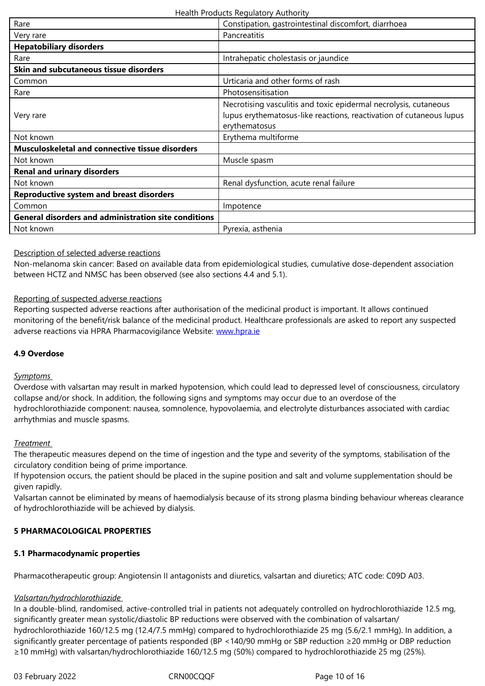| <b>Hepatobiliary disorders</b>                              |                                                                                                                                                          |
|-------------------------------------------------------------|----------------------------------------------------------------------------------------------------------------------------------------------------------|
| Rare                                                        | Intrahepatic cholestasis or jaundice                                                                                                                     |
| Skin and subcutaneous tissue disorders                      |                                                                                                                                                          |
| Common                                                      | Urticaria and other forms of rash                                                                                                                        |
| Rare                                                        | Photosensitisation                                                                                                                                       |
| Very rare                                                   | Necrotising vasculitis and toxic epidermal necrolysis, cutaneous<br>lupus erythematosus-like reactions, reactivation of cutaneous lupus<br>erythematosus |
| Not known                                                   | Erythema multiforme                                                                                                                                      |
| <b>Musculoskeletal and connective tissue disorders</b>      |                                                                                                                                                          |
| Not known                                                   | Muscle spasm                                                                                                                                             |
| <b>Renal and urinary disorders</b>                          |                                                                                                                                                          |
| Not known                                                   | Renal dysfunction, acute renal failure                                                                                                                   |
| <b>Reproductive system and breast disorders</b>             |                                                                                                                                                          |
| Common                                                      | Impotence                                                                                                                                                |
| <b>General disorders and administration site conditions</b> |                                                                                                                                                          |
| Not known                                                   | Pyrexia, asthenia                                                                                                                                        |

#### Description of selected adverse reactions

Non-melanoma skin cancer: Based on available data from epidemiological studies, cumulative dose-dependent association between HCTZ and NMSC has been observed (see also sections 4.4 and 5.1).

#### Reporting of suspected adverse reactions

Reporting suspected adverse reactions after authorisation of the medicinal product is important. It allows continued monitoring of the benefit/risk balance of the medicinal product. Healthcare professionals are asked to report any suspected adverse reactions via HPRA Pharmacovigilance Website: www.hpra.ie

## **4.9 Overdose**

## *Symptoms*

Overdose with valsartan may result in marked hypotension, which could lead to depressed level of consciousness, circulatory collapse and/or shock. In addition, the following signs and symptoms may occur due to an overdose of the hydrochlorothiazide component: nausea, somnolence, hypovolaemia, and electrolyte disturbances associated with cardiac arrhythmias and muscle spasms.

#### *Treatment*

The therapeutic measures depend on the time of ingestion and the type and severity of the symptoms, stabilisation of the circulatory condition being of prime importance.

If hypotension occurs, the patient should be placed in the supine position and salt and volume supplementation should be given rapidly.

Valsartan cannot be eliminated by means of haemodialysis because of its strong plasma binding behaviour whereas clearance of hydrochlorothiazide will be achieved by dialysis.

#### **5 PHARMACOLOGICAL PROPERTIES**

#### **5.1 Pharmacodynamic properties**

Pharmacotherapeutic group: Angiotensin II antagonists and diuretics, valsartan and diuretics; ATC code: C09D A03.

#### *Valsartan/hydrochlorothiazide*

In a double-blind, randomised, active-controlled trial in patients not adequately controlled on hydrochlorothiazide 12.5 mg, significantly greater mean systolic/diastolic BP reductions were observed with the combination of valsartan/ hydrochlorothiazide 160/12.5 mg (12.4/7.5 mmHg) compared to hydrochlorothiazide 25 mg (5.6/2.1 mmHg). In addition, a significantly greater percentage of patients responded (BP <140/90 mmHg or SBP reduction ≥20 mmHg or DBP reduction ≥10 mmHg) with valsartan/hydrochlorothiazide 160/12.5 mg (50%) compared to hydrochlorothiazide 25 mg (25%).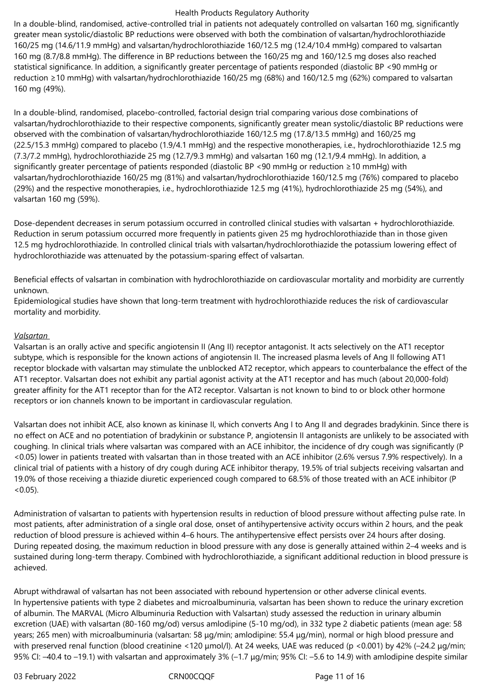In a double-blind, randomised, active-controlled trial in patients not adequately controlled on valsartan 160 mg, significantly greater mean systolic/diastolic BP reductions were observed with both the combination of valsartan/hydrochlorothiazide 160/25 mg (14.6/11.9 mmHg) and valsartan/hydrochlorothiazide 160/12.5 mg (12.4/10.4 mmHg) compared to valsartan 160 mg (8.7/8.8 mmHg). The difference in BP reductions between the 160/25 mg and 160/12.5 mg doses also reached statistical significance. In addition, a significantly greater percentage of patients responded (diastolic BP <90 mmHg or reduction ≥10 mmHg) with valsartan/hydrochlorothiazide 160/25 mg (68%) and 160/12.5 mg (62%) compared to valsartan 160 mg (49%).

In a double-blind, randomised, placebo-controlled, factorial design trial comparing various dose combinations of valsartan/hydrochlorothiazide to their respective components, significantly greater mean systolic/diastolic BP reductions were observed with the combination of valsartan/hydrochlorothiazide 160/12.5 mg (17.8/13.5 mmHg) and 160/25 mg (22.5/15.3 mmHg) compared to placebo (1.9/4.1 mmHg) and the respective monotherapies, i.e., hydrochlorothiazide 12.5 mg (7.3/7.2 mmHg), hydrochlorothiazide 25 mg (12.7/9.3 mmHg) and valsartan 160 mg (12.1/9.4 mmHg). In addition, a significantly greater percentage of patients responded (diastolic BP <90 mmHg or reduction ≥10 mmHg) with valsartan/hydrochlorothiazide 160/25 mg (81%) and valsartan/hydrochlorothiazide 160/12.5 mg (76%) compared to placebo (29%) and the respective monotherapies, i.e., hydrochlorothiazide 12.5 mg (41%), hydrochlorothiazide 25 mg (54%), and valsartan 160 mg (59%).

Dose-dependent decreases in serum potassium occurred in controlled clinical studies with valsartan + hydrochlorothiazide. Reduction in serum potassium occurred more frequently in patients given 25 mg hydrochlorothiazide than in those given 12.5 mg hydrochlorothiazide. In controlled clinical trials with valsartan/hydrochlorothiazide the potassium lowering effect of hydrochlorothiazide was attenuated by the potassium-sparing effect of valsartan.

Beneficial effects of valsartan in combination with hydrochlorothiazide on cardiovascular mortality and morbidity are currently unknown.

Epidemiological studies have shown that long-term treatment with hydrochlorothiazide reduces the risk of cardiovascular mortality and morbidity.

## *Valsartan*

Valsartan is an orally active and specific angiotensin II (Ang II) receptor antagonist. It acts selectively on the AT1 receptor subtype, which is responsible for the known actions of angiotensin II. The increased plasma levels of Ang II following AT1 receptor blockade with valsartan may stimulate the unblocked AT2 receptor, which appears to counterbalance the effect of the AT1 receptor. Valsartan does not exhibit any partial agonist activity at the AT1 receptor and has much (about 20,000-fold) greater affinity for the AT1 receptor than for the AT2 receptor. Valsartan is not known to bind to or block other hormone receptors or ion channels known to be important in cardiovascular regulation.

Valsartan does not inhibit ACE, also known as kininase II, which converts Ang I to Ang II and degrades bradykinin. Since there is no effect on ACE and no potentiation of bradykinin or substance P, angiotensin II antagonists are unlikely to be associated with coughing. In clinical trials where valsartan was compared with an ACE inhibitor, the incidence of dry cough was significantly (P <0.05) lower in patients treated with valsartan than in those treated with an ACE inhibitor (2.6% versus 7.9% respectively). In a clinical trial of patients with a history of dry cough during ACE inhibitor therapy, 19.5% of trial subjects receiving valsartan and 19.0% of those receiving a thiazide diuretic experienced cough compared to 68.5% of those treated with an ACE inhibitor (P  $(0.05)$ .

Administration of valsartan to patients with hypertension results in reduction of blood pressure without affecting pulse rate. In most patients, after administration of a single oral dose, onset of antihypertensive activity occurs within 2 hours, and the peak reduction of blood pressure is achieved within 4–6 hours. The antihypertensive effect persists over 24 hours after dosing. During repeated dosing, the maximum reduction in blood pressure with any dose is generally attained within 2–4 weeks and is sustained during long-term therapy. Combined with hydrochlorothiazide, a significant additional reduction in blood pressure is achieved.

Abrupt withdrawal of valsartan has not been associated with rebound hypertension or other adverse clinical events. In hypertensive patients with type 2 diabetes and microalbuminuria, valsartan has been shown to reduce the urinary excretion of albumin. The MARVAL (Micro Albuminuria Reduction with Valsartan) study assessed the reduction in urinary albumin excretion (UAE) with valsartan (80-160 mg/od) versus amlodipine (5-10 mg/od), in 332 type 2 diabetic patients (mean age: 58 years; 265 men) with microalbuminuria (valsartan: 58 μg/min; amlodipine: 55.4 μg/min), normal or high blood pressure and with preserved renal function (blood creatinine <120 μmol/l). At 24 weeks, UAE was reduced (p <0.001) by 42% (-24.2 μg/min; 95% CI: –40.4 to –19.1) with valsartan and approximately 3% (–1.7 μg/min; 95% CI: –5.6 to 14.9) with amlodipine despite similar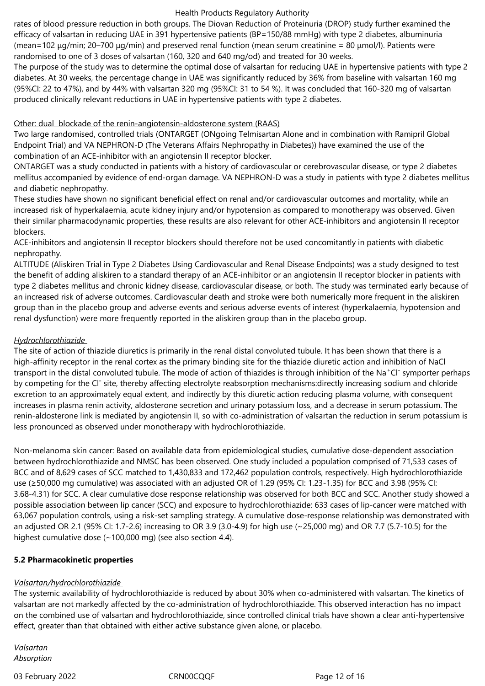rates of blood pressure reduction in both groups. The Diovan Reduction of Proteinuria (DROP) study further examined the efficacy of valsartan in reducing UAE in 391 hypertensive patients (BP=150/88 mmHg) with type 2 diabetes, albuminuria (mean=102 μg/min; 20–700 μg/min) and preserved renal function (mean serum creatinine = 80 μmol/l). Patients were randomised to one of 3 doses of valsartan (160, 320 and 640 mg/od) and treated for 30 weeks.

The purpose of the study was to determine the optimal dose of valsartan for reducing UAE in hypertensive patients with type 2 diabetes. At 30 weeks, the percentage change in UAE was significantly reduced by 36% from baseline with valsartan 160 mg (95%CI: 22 to 47%), and by 44% with valsartan 320 mg (95%CI: 31 to 54 %). It was concluded that 160-320 mg of valsartan produced clinically relevant reductions in UAE in hypertensive patients with type 2 diabetes.

#### Other: dual blockade of the renin-angiotensin-aldosterone system (RAAS)

Two large randomised, controlled trials (ONTARGET (ONgoing Telmisartan Alone and in combination with Ramipril Global Endpoint Trial) and VA NEPHRON-D (The Veterans Affairs Nephropathy in Diabetes)) have examined the use of the combination of an ACE-inhibitor with an angiotensin II receptor blocker.

ONTARGET was a study conducted in patients with a history of cardiovascular or cerebrovascular disease, or type 2 diabetes mellitus accompanied by evidence of end-organ damage. VA NEPHRON-D was a study in patients with type 2 diabetes mellitus and diabetic nephropathy.

These studies have shown no significant beneficial effect on renal and/or cardiovascular outcomes and mortality, while an increased risk of hyperkalaemia, acute kidney injury and/or hypotension as compared to monotherapy was observed. Given their similar pharmacodynamic properties, these results are also relevant for other ACE-inhibitors and angiotensin II receptor blockers.

ACE-inhibitors and angiotensin II receptor blockers should therefore not be used concomitantly in patients with diabetic nephropathy.

ALTITUDE (Aliskiren Trial in Type 2 Diabetes Using Cardiovascular and Renal Disease Endpoints) was a study designed to test the benefit of adding aliskiren to a standard therapy of an ACE-inhibitor or an angiotensin II receptor blocker in patients with type 2 diabetes mellitus and chronic kidney disease, cardiovascular disease, or both. The study was terminated early because of an increased risk of adverse outcomes. Cardiovascular death and stroke were both numerically more frequent in the aliskiren group than in the placebo group and adverse events and serious adverse events of interest (hyperkalaemia, hypotension and renal dysfunction) were more frequently reported in the aliskiren group than in the placebo group.

## *Hydrochlorothiazide*

The site of action of thiazide diuretics is primarily in the renal distal convoluted tubule. It has been shown that there is a high-affinity receptor in the renal cortex as the primary binding site for the thiazide diuretic action and inhibition of NaCl transport in the distal convoluted tubule. The mode of action of thiazides is through inhibition of the Na<sup>+</sup>Cl<sup>-</sup> symporter perhaps by competing for the Clˉ site, thereby affecting electrolyte reabsorption mechanisms:directly increasing sodium and chloride excretion to an approximately equal extent, and indirectly by this diuretic action reducing plasma volume, with consequent increases in plasma renin activity, aldosterone secretion and urinary potassium loss, and a decrease in serum potassium. The renin-aldosterone link is mediated by angiotensin II, so with co-administration of valsartan the reduction in serum potassium is less pronounced as observed under monotherapy with hydrochlorothiazide.

Non-melanoma skin cancer: Based on available data from epidemiological studies, cumulative dose-dependent association between hydrochlorothiazide and NMSC has been observed. One study included a population comprised of 71,533 cases of BCC and of 8,629 cases of SCC matched to 1,430,833 and 172,462 population controls, respectively. High hydrochlorothiazide use (≥50,000 mg cumulative) was associated with an adjusted OR of 1.29 (95% CI: 1.23-1.35) for BCC and 3.98 (95% CI: 3.68-4.31) for SCC. A clear cumulative dose response relationship was observed for both BCC and SCC. Another study showed a possible association between lip cancer (SCC) and exposure to hydrochlorothiazide: 633 cases of lip-cancer were matched with 63,067 population controls, using a risk-set sampling strategy. A cumulative dose-response relationship was demonstrated with an adjusted OR 2.1 (95% CI: 1.7-2.6) increasing to OR 3.9 (3.0-4.9) for high use (~25,000 mg) and OR 7.7 (5.7-10.5) for the highest cumulative dose (~100,000 mg) (see also section 4.4).

## **5.2 Pharmacokinetic properties**

## *Valsartan/hydrochlorothiazide*

The systemic availability of hydrochlorothiazide is reduced by about 30% when co-administered with valsartan. The kinetics of valsartan are not markedly affected by the co-administration of hydrochlorothiazide. This observed interaction has no impact on the combined use of valsartan and hydrochlorothiazide, since controlled clinical trials have shown a clear anti-hypertensive effect, greater than that obtained with either active substance given alone, or placebo.

*Valsartan Absorption* 

03 February 2022 CRN00CQQF CRNOCCQCF Page 12 of 16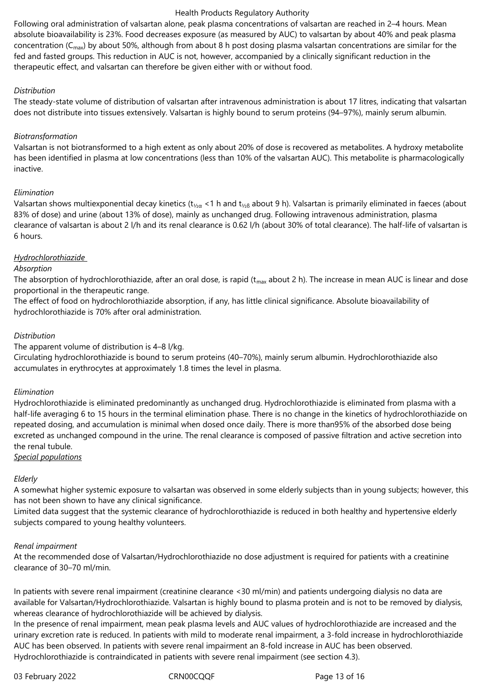Following oral administration of valsartan alone, peak plasma concentrations of valsartan are reached in 2–4 hours. Mean absolute bioavailability is 23%. Food decreases exposure (as measured by AUC) to valsartan by about 40% and peak plasma concentration ( $C_{\text{max}}$ ) by about 50%, although from about 8 h post dosing plasma valsartan concentrations are similar for the fed and fasted groups. This reduction in AUC is not, however, accompanied by a clinically significant reduction in the therapeutic effect, and valsartan can therefore be given either with or without food.

## *Distribution*

The steady-state volume of distribution of valsartan after intravenous administration is about 17 litres, indicating that valsartan does not distribute into tissues extensively. Valsartan is highly bound to serum proteins (94–97%), mainly serum albumin.

#### *Biotransformation*

Valsartan is not biotransformed to a high extent as only about 20% of dose is recovered as metabolites. A hydroxy metabolite has been identified in plasma at low concentrations (less than 10% of the valsartan AUC). This metabolite is pharmacologically inactive.

#### *Elimination*

Valsartan shows multiexponential decay kinetics (t<sub>1/20</sub> <1 h and t<sub>1/28</sub> about 9 h). Valsartan is primarily eliminated in faeces (about 83% of dose) and urine (about 13% of dose), mainly as unchanged drug. Following intravenous administration, plasma clearance of valsartan is about 2 l/h and its renal clearance is 0.62 l/h (about 30% of total clearance). The half-life of valsartan is 6 hours.

## *Hydrochlorothiazide*

#### *Absorption*

The absorption of hydrochlorothiazide, after an oral dose, is rapid ( $t_{max}$  about 2 h). The increase in mean AUC is linear and dose proportional in the therapeutic range.

The effect of food on hydrochlorothiazide absorption, if any, has little clinical significance. Absolute bioavailability of hydrochlorothiazide is 70% after oral administration.

## *Distribution*

The apparent volume of distribution is 4–8 l/kg.

Circulating hydrochlorothiazide is bound to serum proteins (40–70%), mainly serum albumin. Hydrochlorothiazide also accumulates in erythrocytes at approximately 1.8 times the level in plasma.

#### *Elimination*

Hydrochlorothiazide is eliminated predominantly as unchanged drug. Hydrochlorothiazide is eliminated from plasma with a half-life averaging 6 to 15 hours in the terminal elimination phase. There is no change in the kinetics of hydrochlorothiazide on repeated dosing, and accumulation is minimal when dosed once daily. There is more than95% of the absorbed dose being excreted as unchanged compound in the urine. The renal clearance is composed of passive filtration and active secretion into the renal tubule.

#### *Special populations*

## *Elderly*

A somewhat higher systemic exposure to valsartan was observed in some elderly subjects than in young subjects; however, this has not been shown to have any clinical significance.

Limited data suggest that the systemic clearance of hydrochlorothiazide is reduced in both healthy and hypertensive elderly subjects compared to young healthy volunteers.

#### *Renal impairment*

At the recommended dose of Valsartan/Hydrochlorothiazide no dose adjustment is required for patients with a creatinine clearance of 30–70 ml/min.

In patients with severe renal impairment (creatinine clearance <30 ml/min) and patients undergoing dialysis no data are available for Valsartan/Hydrochlorothiazide. Valsartan is highly bound to plasma protein and is not to be removed by dialysis, whereas clearance of hydrochlorothiazide will be achieved by dialysis.

In the presence of renal impairment, mean peak plasma levels and AUC values of hydrochlorothiazide are increased and the urinary excretion rate is reduced. In patients with mild to moderate renal impairment, a 3-fold increase in hydrochlorothiazide AUC has been observed. In patients with severe renal impairment an 8-fold increase in AUC has been observed. Hydrochlorothiazide is contraindicated in patients with severe renal impairment (see section 4.3).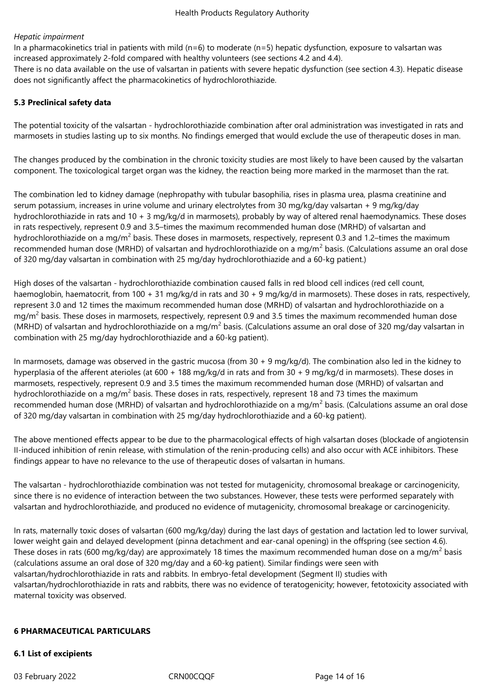## *Hepatic impairment*

In a pharmacokinetics trial in patients with mild ( $n=6$ ) to moderate ( $n=5$ ) hepatic dysfunction, exposure to valsartan was increased approximately 2-fold compared with healthy volunteers (see sections 4.2 and 4.4).

There is no data available on the use of valsartan in patients with severe hepatic dysfunction (see section 4.3). Hepatic disease does not significantly affect the pharmacokinetics of hydrochlorothiazide.

#### **5.3 Preclinical safety data**

The potential toxicity of the valsartan - hydrochlorothiazide combination after oral administration was investigated in rats and marmosets in studies lasting up to six months. No findings emerged that would exclude the use of therapeutic doses in man.

The changes produced by the combination in the chronic toxicity studies are most likely to have been caused by the valsartan component. The toxicological target organ was the kidney, the reaction being more marked in the marmoset than the rat.

The combination led to kidney damage (nephropathy with tubular basophilia, rises in plasma urea, plasma creatinine and serum potassium, increases in urine volume and urinary electrolytes from 30 mg/kg/day valsartan + 9 mg/kg/day hydrochlorothiazide in rats and 10 + 3 mg/kg/d in marmosets), probably by way of altered renal haemodynamics. These doses in rats respectively, represent 0.9 and 3.5–times the maximum recommended human dose (MRHD) of valsartan and hydrochlorothiazide on a mg/m<sup>2</sup> basis. These doses in marmosets, respectively, represent 0.3 and 1.2–times the maximum recommended human dose (MRHD) of valsartan and hydrochlorothiazide on a mg/m<sup>2</sup> basis. (Calculations assume an oral dose of 320 mg/day valsartan in combination with 25 mg/day hydrochlorothiazide and a 60‑kg patient.)

High doses of the valsartan - hydrochlorothiazide combination caused falls in red blood cell indices (red cell count, haemoglobin, haematocrit, from 100 + 31 mg/kg/d in rats and 30 + 9 mg/kg/d in marmosets). These doses in rats, respectively, represent 3.0 and 12 times the maximum recommended human dose (MRHD) of valsartan and hydrochlorothiazide on a mg/m<sup>2</sup> basis. These doses in marmosets, respectively, represent 0.9 and 3.5 times the maximum recommended human dose (MRHD) of valsartan and hydrochlorothiazide on a mg/m<sup>2</sup> basis. (Calculations assume an oral dose of 320 mg/day valsartan in combination with 25 mg/day hydrochlorothiazide and a 60-kg patient).

In marmosets, damage was observed in the gastric mucosa (from 30 + 9 mg/kg/d). The combination also led in the kidney to hyperplasia of the afferent aterioles (at 600 + 188 mg/kg/d in rats and from 30 + 9 mg/kg/d in marmosets). These doses in marmosets, respectively, represent 0.9 and 3.5 times the maximum recommended human dose (MRHD) of valsartan and hydrochlorothiazide on a mg/m<sup>2</sup> basis. These doses in rats, respectively, represent 18 and 73 times the maximum recommended human dose (MRHD) of valsartan and hydrochlorothiazide on a mg/m<sup>2</sup> basis. (Calculations assume an oral dose of 320 mg/day valsartan in combination with 25 mg/day hydrochlorothiazide and a 60-kg patient).

The above mentioned effects appear to be due to the pharmacological effects of high valsartan doses (blockade of angiotensin II-induced inhibition of renin release, with stimulation of the renin-producing cells) and also occur with ACE inhibitors. These findings appear to have no relevance to the use of therapeutic doses of valsartan in humans.

The valsartan - hydrochlorothiazide combination was not tested for mutagenicity, chromosomal breakage or carcinogenicity, since there is no evidence of interaction between the two substances. However, these tests were performed separately with valsartan and hydrochlorothiazide, and produced no evidence of mutagenicity, chromosomal breakage or carcinogenicity.

In rats, maternally toxic doses of valsartan (600 mg/kg/day) during the last days of gestation and lactation led to lower survival, lower weight gain and delayed development (pinna detachment and ear-canal opening) in the offspring (see section 4.6). These doses in rats (600 mg/kg/day) are approximately 18 times the maximum recommended human dose on a mg/m<sup>2</sup> basis (calculations assume an oral dose of 320 mg/day and a 60-kg patient). Similar findings were seen with valsartan/hydrochlorothiazide in rats and rabbits. In embryo-fetal development (Segment II) studies with valsartan/hydrochlorothiazide in rats and rabbits, there was no evidence of teratogenicity; however, fetotoxicity associated with maternal toxicity was observed.

#### **6 PHARMACEUTICAL PARTICULARS**

#### **6.1 List of excipients**

03 February 2022 CRN00CQQF Page 14 of 16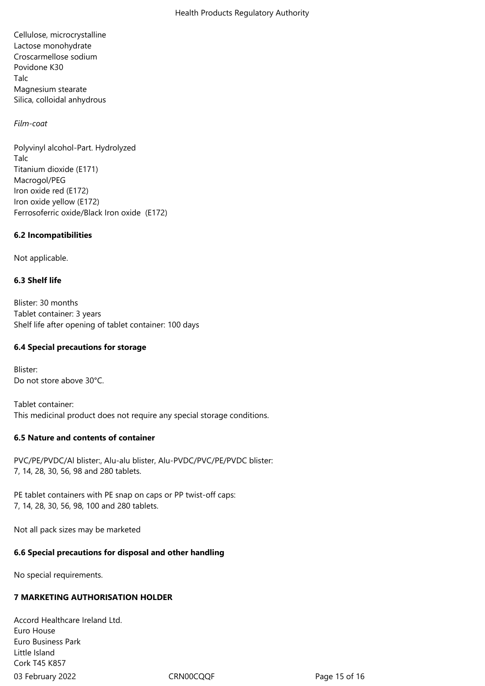Cellulose, microcrystalline Lactose monohydrate Croscarmellose sodium Povidone K30 Talc Magnesium stearate Silica, colloidal anhydrous

## *Film-coat*

Polyvinyl alcohol-Part. Hydrolyzed Talc Titanium dioxide (E171) Macrogol/PEG Iron oxide red (E172) Iron oxide yellow (E172) Ferrosoferric oxide/Black Iron oxide (E172)

## **6.2 Incompatibilities**

Not applicable.

## **6.3 Shelf life**

Blister: 30 months Tablet container: 3 years Shelf life after opening of tablet container: 100 days

## **6.4 Special precautions for storage**

Blister: Do not store above 30°C.

Tablet container: This medicinal product does not require any special storage conditions.

## **6.5 Nature and contents of container**

PVC/PE/PVDC/Al blister:, Alu-alu blister, Alu-PVDC/PVC/PE/PVDC blister: 7, 14, 28, 30, 56, 98 and 280 tablets.

PE tablet containers with PE snap on caps or PP twist-off caps: 7, 14, 28, 30, 56, 98, 100 and 280 tablets.

Not all pack sizes may be marketed

## **6.6 Special precautions for disposal and other handling**

No special requirements.

## **7 MARKETING AUTHORISATION HOLDER**

03 February 2022 CRN00CQQF CRNOOCQQF Page 15 of 16 Accord Healthcare Ireland Ltd. Euro House Euro Business Park Little Island Cork T45 K857